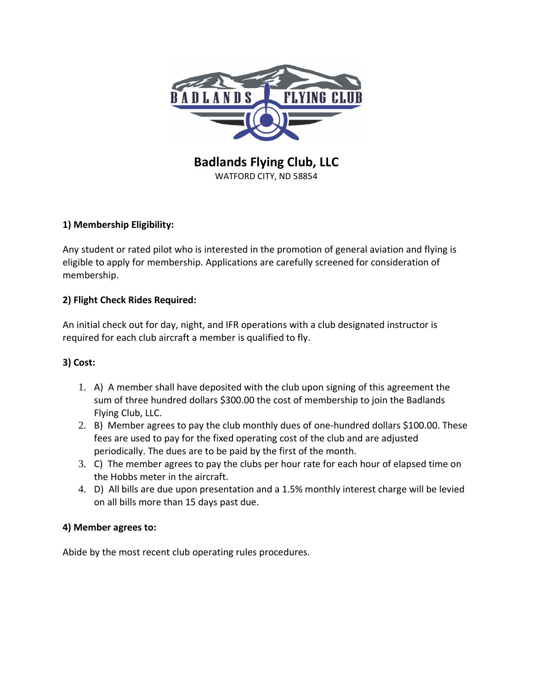

**Badlands Flying Club, LLC** WATFORD CITY, ND 58854

# **1) Membership Eligibility:**

Any student or rated pilot who is interested in the promotion of general aviation and flying is eligible to apply for membership. Applications are carefully screened for consideration of membership.

# **2) Flight Check Rides Required:**

An initial check out for day, night, and IFR operations with a club designated instructor is required for each club aircraft a member is qualified to fly.

# **3) Cost:**

- 1. A) A member shall have deposited with the club upon signing of this agreement the sum of three hundred dollars \$300.00 the cost of membership to join the Badlands Flying Club, LLC.
- 2. B) Member agrees to pay the club monthly dues of one-hundred dollars \$100.00. These fees are used to pay for the fixed operating cost of the club and are adjusted periodically. The dues are to be paid by the first of the month.
- 3. C) The member agrees to pay the clubs per hour rate for each hour of elapsed time on the Hobbs meter in the aircraft.
- 4. D) All bills are due upon presentation and a 1.5% monthly interest charge will be levied on all bills more than 15 days past due.

### **4) Member agrees to:**

Abide by the most recent club operating rules procedures.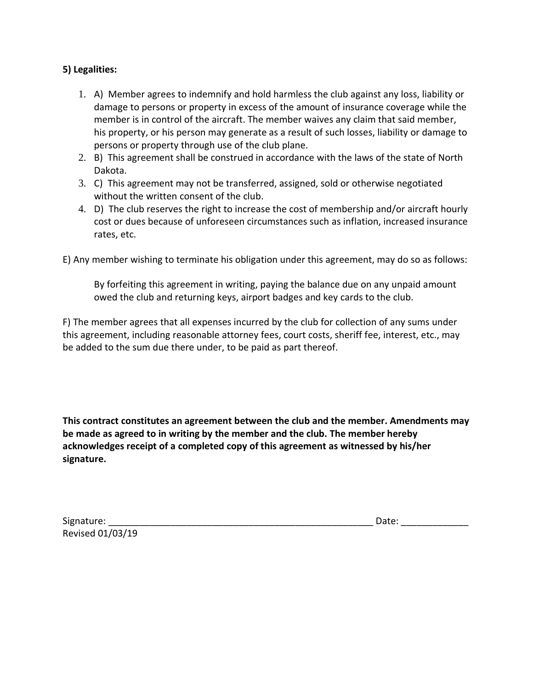#### **5) Legalities:**

- 1. A) Member agrees to indemnify and hold harmless the club against any loss, liability or damage to persons or property in excess of the amount of insurance coverage while the member is in control of the aircraft. The member waives any claim that said member, his property, or his person may generate as a result of such losses, liability or damage to persons or property through use of the club plane.
- 2. B) This agreement shall be construed in accordance with the laws of the state of North Dakota.
- 3. C) This agreement may not be transferred, assigned, sold or otherwise negotiated without the written consent of the club.
- 4. D) The club reserves the right to increase the cost of membership and/or aircraft hourly cost or dues because of unforeseen circumstances such as inflation, increased insurance rates, etc.

E) Any member wishing to terminate his obligation under this agreement, may do so as follows:

By forfeiting this agreement in writing, paying the balance due on any unpaid amount owed the club and returning keys, airport badges and key cards to the club.

F) The member agrees that all expenses incurred by the club for collection of any sums under this agreement, including reasonable attorney fees, court costs, sheriff fee, interest, etc., may be added to the sum due there under, to be paid as part thereof.

**This contract constitutes an agreement between the club and the member. Amendments may be made as agreed to in writing by the member and the club. The member hereby acknowledges receipt of a completed copy of this agreement as witnessed by his/her signature.** 

| Signature:       | Date: |
|------------------|-------|
| Revised 01/03/19 |       |